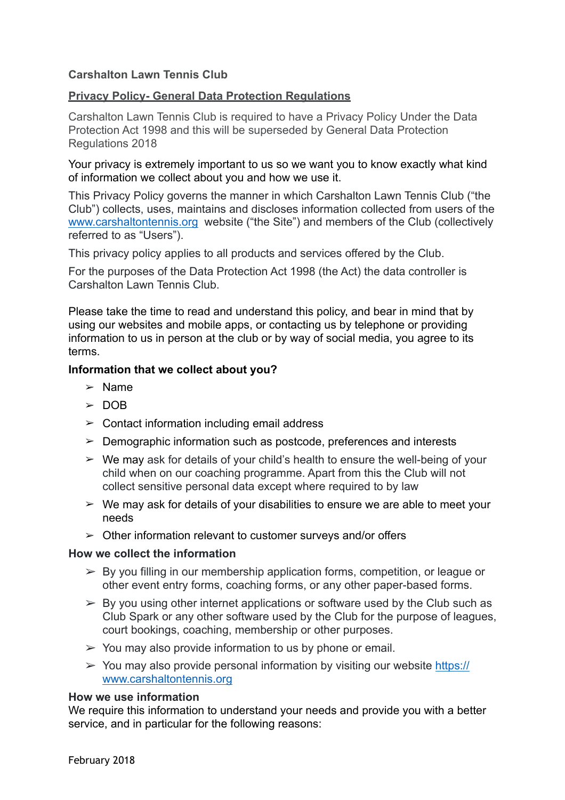# **Carshalton Lawn Tennis Club**

## **Privacy Policy- General Data Protection Regulations**

Carshalton Lawn Tennis Club is required to have a Privacy Policy Under the Data Protection Act 1998 and this will be superseded by General Data Protection Regulations 2018

Your privacy is extremely important to us so we want you to know exactly what kind of information we collect about you and how we use it.

This Privacy Policy governs the manner in which Carshalton Lawn Tennis Club ("the Club") collects, uses, maintains and discloses information collected from users of the [www.carshaltontennis.org](http://www.carshaltontennis.org) website ("the Site") and members of the Club (collectively referred to as "Users").

This privacy policy applies to all products and services offered by the Club.

For the purposes of the Data Protection Act 1998 (the Act) the data controller is Carshalton Lawn Tennis Club.

Please take the time to read and understand this policy, and bear in mind that by using our websites and mobile apps, or contacting us by telephone or providing information to us in person at the club or by way of social media, you agree to its terms.

### **Information that we collect about you?**

- ➢ Name
- ➢ DOB
- $\geq$  Contact information including email address
- $\geq$  Demographic information such as postcode, preferences and interests
- $\triangleright$  We may ask for details of your child's health to ensure the well-being of your child when on our coaching programme. Apart from this the Club will not collect sensitive personal data except where required to by law
- $\geq$  We may ask for details of your disabilities to ensure we are able to meet your needs
- $\geq$  Other information relevant to customer surveys and/or offers

#### **How we collect the information**

- $\triangleright$  By you filling in our membership application forms, competition, or league or other event entry forms, coaching forms, or any other paper-based forms.
- $\triangleright$  By you using other internet applications or software used by the Club such as Club Spark or any other software used by the Club for the purpose of leagues, court bookings, coaching, membership or other purposes.
- $\geq$  You may also provide information to us by phone or email.
- $\geq$  You may also provide personal information by visiting our website [https://](https://www.carshaltontennis.org) [www.carshaltontennis.org](https://www.carshaltontennis.org)

#### **How we use information**

We require this information to understand your needs and provide you with a better service, and in particular for the following reasons: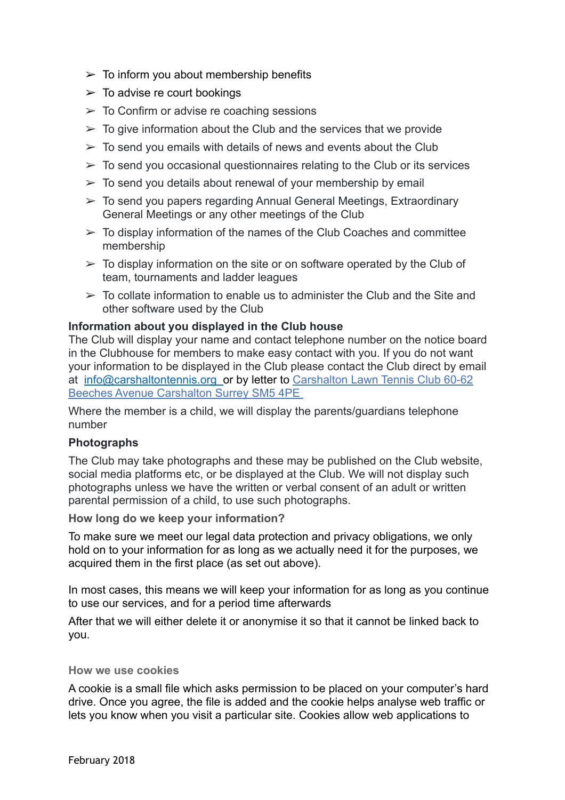- $\geq$  To inform you about membership benefits
- $\geq$  To advise re court bookings
- $\geq$  To Confirm or advise re coaching sessions
- $\geq$  To give information about the Club and the services that we provide
- $\geq$  To send you emails with details of news and events about the Club
- $\geq$  To send you occasional questionnaires relating to the Club or its services
- $\geq$  To send you details about renewal of your membership by email
- $\geq$  To send you papers regarding Annual General Meetings, Extraordinary General Meetings or any other meetings of the Club
- $\geq$  To display information of the names of the Club Coaches and committee membership
- $\geq$  To display information on the site or on software operated by the Club of team, tournaments and ladder leagues
- $\geq$  To collate information to enable us to administer the Club and the Site and other software used by the Club

### **Information about you displayed in the Club house**

The Club will display your name and contact telephone number on the notice board in the Clubhouse for members to make easy contact with you. If you do not want your information to be displayed in the Club please contact the Club direct by email at [info@carshaltontennis.org](mailto:info@carshaltontennis.org) or by letter to Carshalton Lawn Tennis Club 60-62 Beeches Avenue Carshalton Surrey SM5 4PE

Where the member is a child, we will display the parents/guardians telephone number

### **Photographs**

The Club may take photographs and these may be published on the Club website, social media platforms etc, or be displayed at the Club. We will not display such photographs unless we have the written or verbal consent of an adult or written parental permission of a child, to use such photographs.

**How long do we keep your information?** 

To make sure we meet our legal data protection and privacy obligations, we only hold on to your information for as long as we actually need it for the purposes, we acquired them in the first place (as set out above).

In most cases, this means we will keep your information for as long as you continue to use our services, and for a period time afterwards

After that we will either delete it or anonymise it so that it cannot be linked back to you.

#### **How we use cookies**

A cookie is a small file which asks permission to be placed on your computer's hard drive. Once you agree, the file is added and the cookie helps analyse web traffic or lets you know when you visit a particular site. Cookies allow web applications to